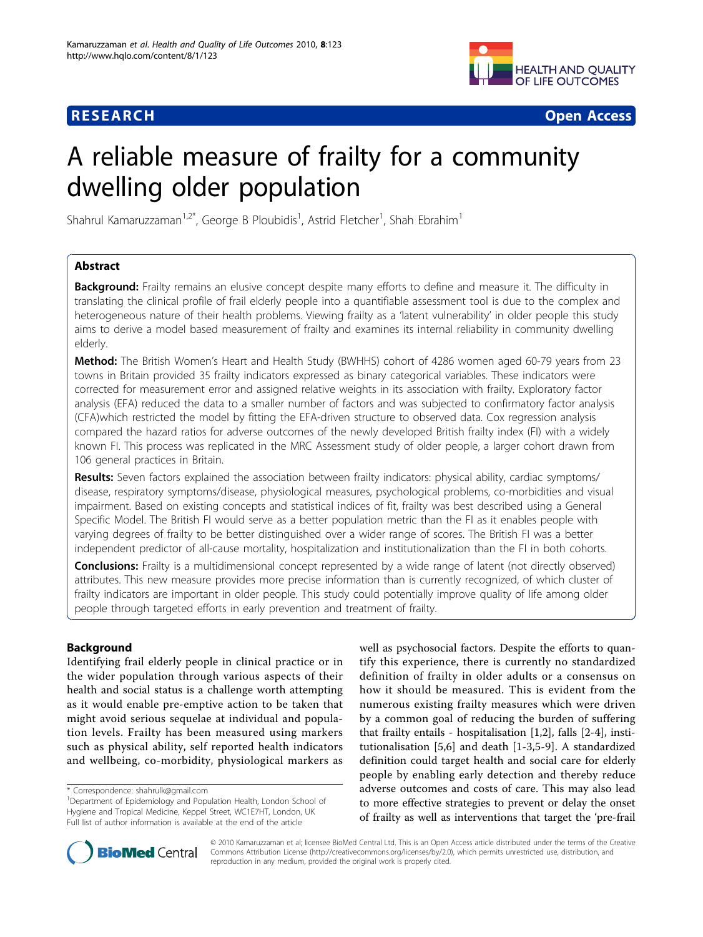

**RESEARCH CONSTRUCTION CONSTRUCTS** 

# A reliable measure of frailty for a community dwelling older population

Shahrul Kamaruzzaman<sup>1,2\*</sup>, George B Ploubidis<sup>1</sup>, Astrid Fletcher<sup>1</sup>, Shah Ebrahim<sup>1</sup>

# Abstract

**Background:** Frailty remains an elusive concept despite many efforts to define and measure it. The difficulty in translating the clinical profile of frail elderly people into a quantifiable assessment tool is due to the complex and heterogeneous nature of their health problems. Viewing frailty as a 'latent vulnerability' in older people this study aims to derive a model based measurement of frailty and examines its internal reliability in community dwelling elderly.

**Method:** The British Women's Heart and Health Study (BWHHS) cohort of 4286 women aged 60-79 years from 23 towns in Britain provided 35 frailty indicators expressed as binary categorical variables. These indicators were corrected for measurement error and assigned relative weights in its association with frailty. Exploratory factor analysis (EFA) reduced the data to a smaller number of factors and was subjected to confirmatory factor analysis (CFA)which restricted the model by fitting the EFA-driven structure to observed data. Cox regression analysis compared the hazard ratios for adverse outcomes of the newly developed British frailty index (FI) with a widely known FI. This process was replicated in the MRC Assessment study of older people, a larger cohort drawn from 106 general practices in Britain.

Results: Seven factors explained the association between frailty indicators: physical ability, cardiac symptoms/ disease, respiratory symptoms/disease, physiological measures, psychological problems, co-morbidities and visual impairment. Based on existing concepts and statistical indices of fit, frailty was best described using a General Specific Model. The British FI would serve as a better population metric than the FI as it enables people with varying degrees of frailty to be better distinguished over a wider range of scores. The British FI was a better independent predictor of all-cause mortality, hospitalization and institutionalization than the FI in both cohorts.

**Conclusions:** Frailty is a multidimensional concept represented by a wide range of latent (not directly observed) attributes. This new measure provides more precise information than is currently recognized, of which cluster of frailty indicators are important in older people. This study could potentially improve quality of life among older people through targeted efforts in early prevention and treatment of frailty.

# Background

Identifying frail elderly people in clinical practice or in the wider population through various aspects of their health and social status is a challenge worth attempting as it would enable pre-emptive action to be taken that might avoid serious sequelae at individual and population levels. Frailty has been measured using markers such as physical ability, self reported health indicators and wellbeing, co-morbidity, physiological markers as

well as psychosocial factors. Despite the efforts to quantify this experience, there is currently no standardized definition of frailty in older adults or a consensus on how it should be measured. This is evident from the numerous existing frailty measures which were driven by a common goal of reducing the burden of suffering that frailty entails - hospitalisation [[1](#page-12-0),[2](#page-12-0)], falls [[2-4\]](#page-12-0), institutionalisation [[5,6](#page-12-0)] and death [[1-3,5](#page-12-0)-[9](#page-12-0)]. A standardized definition could target health and social care for elderly people by enabling early detection and thereby reduce adverse outcomes and costs of care. This may also lead to more effective strategies to prevent or delay the onset of frailty as well as interventions that target the 'pre-frail



© 2010 Kamaruzzaman et al; licensee BioMed Central Ltd. This is an Open Access article distributed under the terms of the Creative Commons Attribution License [\(http://creativecommons.org/licenses/by/2.0](http://creativecommons.org/licenses/by/2.0)), which permits unrestricted use, distribution, and reproduction in any medium, provided the original work is properly cited.

<sup>\*</sup> Correspondence: [shahrulk@gmail.com](mailto:shahrulk@gmail.com)

<sup>&</sup>lt;sup>1</sup>Department of Epidemiology and Population Health, London School of Hygiene and Tropical Medicine, Keppel Street, WC1E7HT, London, UK Full list of author information is available at the end of the article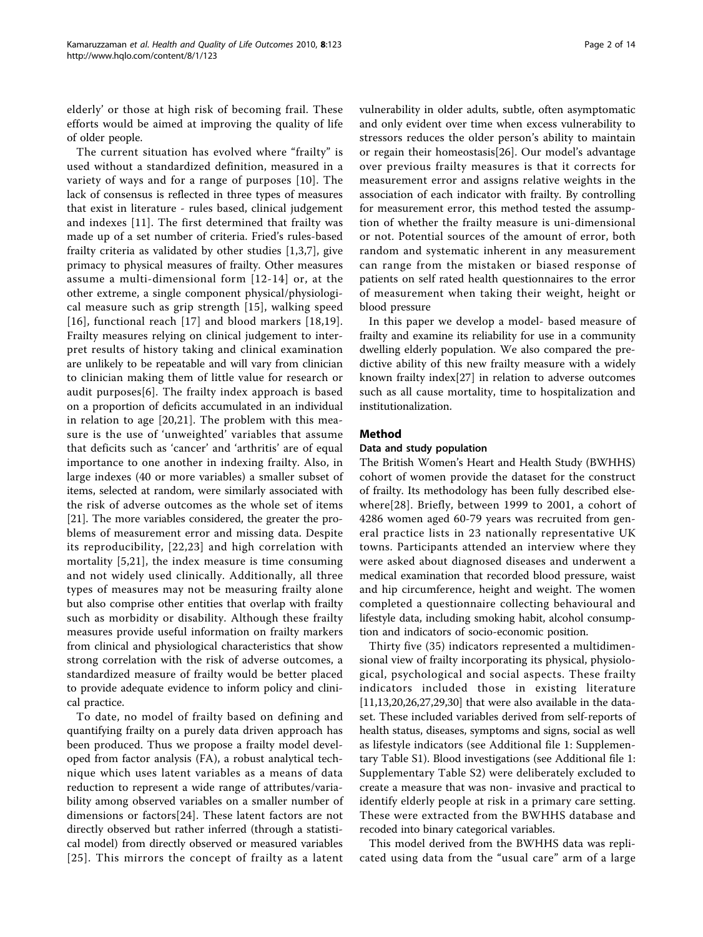elderly' or those at high risk of becoming frail. These efforts would be aimed at improving the quality of life of older people.

The current situation has evolved where "frailty" is used without a standardized definition, measured in a variety of ways and for a range of purposes [[10](#page-12-0)]. The lack of consensus is reflected in three types of measures that exist in literature - rules based, clinical judgement and indexes [\[11\]](#page-12-0). The first determined that frailty was made up of a set number of criteria. Fried's rules-based frailty criteria as validated by other studies [\[1](#page-12-0),[3,7](#page-12-0)], give primacy to physical measures of frailty. Other measures assume a multi-dimensional form [[12-14](#page-12-0)] or, at the other extreme, a single component physical/physiological measure such as grip strength [\[15\]](#page-12-0), walking speed [[16](#page-12-0)], functional reach [[17\]](#page-12-0) and blood markers [[18](#page-12-0),[19\]](#page-12-0). Frailty measures relying on clinical judgement to interpret results of history taking and clinical examination are unlikely to be repeatable and will vary from clinician to clinician making them of little value for research or audit purposes[\[6\]](#page-12-0). The frailty index approach is based on a proportion of deficits accumulated in an individual in relation to age [[20,21](#page-13-0)]. The problem with this measure is the use of 'unweighted' variables that assume that deficits such as 'cancer' and 'arthritis' are of equal importance to one another in indexing frailty. Also, in large indexes (40 or more variables) a smaller subset of items, selected at random, were similarly associated with the risk of adverse outcomes as the whole set of items [[21\]](#page-13-0). The more variables considered, the greater the problems of measurement error and missing data. Despite its reproducibility, [[22,23\]](#page-13-0) and high correlation with mortality [\[5](#page-12-0),[21\]](#page-13-0), the index measure is time consuming and not widely used clinically. Additionally, all three types of measures may not be measuring frailty alone but also comprise other entities that overlap with frailty such as morbidity or disability. Although these frailty measures provide useful information on frailty markers from clinical and physiological characteristics that show strong correlation with the risk of adverse outcomes, a standardized measure of frailty would be better placed to provide adequate evidence to inform policy and clinical practice.

To date, no model of frailty based on defining and quantifying frailty on a purely data driven approach has been produced. Thus we propose a frailty model developed from factor analysis (FA), a robust analytical technique which uses latent variables as a means of data reduction to represent a wide range of attributes/variability among observed variables on a smaller number of dimensions or factors[[24\]](#page-13-0). These latent factors are not directly observed but rather inferred (through a statistical model) from directly observed or measured variables [[25](#page-13-0)]. This mirrors the concept of frailty as a latent vulnerability in older adults, subtle, often asymptomatic and only evident over time when excess vulnerability to stressors reduces the older person's ability to maintain or regain their homeostasis[[26\]](#page-13-0). Our model's advantage over previous frailty measures is that it corrects for measurement error and assigns relative weights in the association of each indicator with frailty. By controlling for measurement error, this method tested the assumption of whether the frailty measure is uni-dimensional or not. Potential sources of the amount of error, both random and systematic inherent in any measurement can range from the mistaken or biased response of patients on self rated health questionnaires to the error of measurement when taking their weight, height or blood pressure

In this paper we develop a model- based measure of frailty and examine its reliability for use in a community dwelling elderly population. We also compared the predictive ability of this new frailty measure with a widely known frailty index[[27](#page-13-0)] in relation to adverse outcomes such as all cause mortality, time to hospitalization and institutionalization.

### Method

#### Data and study population

The British Women's Heart and Health Study (BWHHS) cohort of women provide the dataset for the construct of frailty. Its methodology has been fully described elsewhere[[28](#page-13-0)]. Briefly, between 1999 to 2001, a cohort of 4286 women aged 60-79 years was recruited from general practice lists in 23 nationally representative UK towns. Participants attended an interview where they were asked about diagnosed diseases and underwent a medical examination that recorded blood pressure, waist and hip circumference, height and weight. The women completed a questionnaire collecting behavioural and lifestyle data, including smoking habit, alcohol consumption and indicators of socio-economic position.

Thirty five (35) indicators represented a multidimensional view of frailty incorporating its physical, physiological, psychological and social aspects. These frailty indicators included those in existing literature [[11,13,](#page-12-0)[20](#page-13-0),[26,27,29,30](#page-13-0)] that were also available in the dataset. These included variables derived from self-reports of health status, diseases, symptoms and signs, social as well as lifestyle indicators (see Additional file [1:](#page-12-0) Supplementary Table S1). Blood investigations (see Additional file [1](#page-12-0): Supplementary Table S2) were deliberately excluded to create a measure that was non- invasive and practical to identify elderly people at risk in a primary care setting. These were extracted from the BWHHS database and recoded into binary categorical variables.

This model derived from the BWHHS data was replicated using data from the "usual care" arm of a large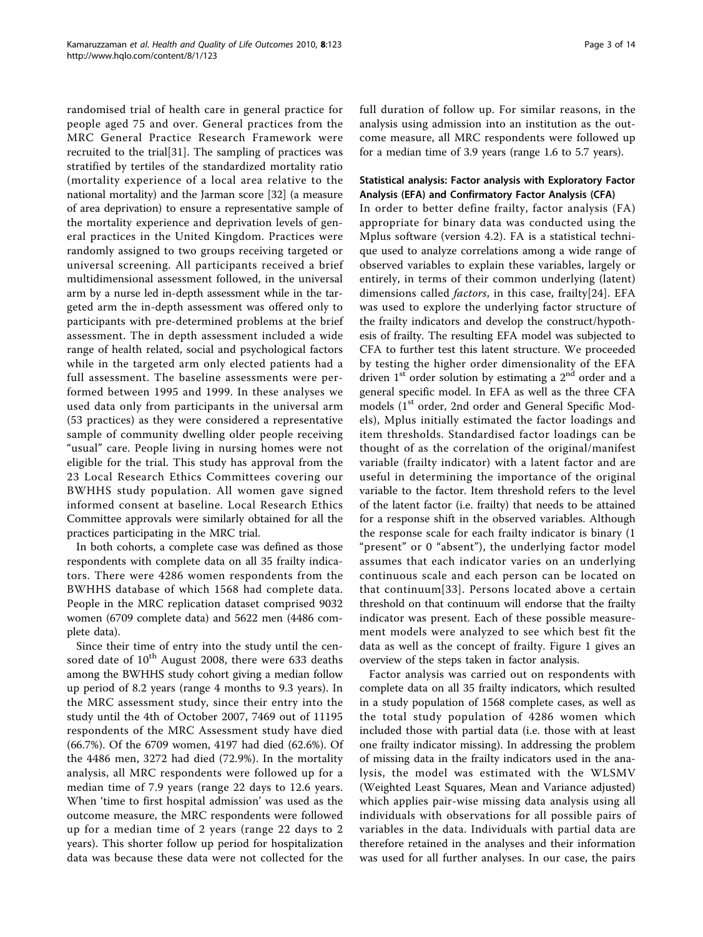randomised trial of health care in general practice for people aged 75 and over. General practices from the MRC General Practice Research Framework were recruited to the trial[\[31](#page-13-0)]. The sampling of practices was stratified by tertiles of the standardized mortality ratio (mortality experience of a local area relative to the national mortality) and the Jarman score [[32\]](#page-13-0) (a measure of area deprivation) to ensure a representative sample of the mortality experience and deprivation levels of general practices in the United Kingdom. Practices were randomly assigned to two groups receiving targeted or universal screening. All participants received a brief multidimensional assessment followed, in the universal arm by a nurse led in-depth assessment while in the targeted arm the in-depth assessment was offered only to participants with pre-determined problems at the brief assessment. The in depth assessment included a wide range of health related, social and psychological factors while in the targeted arm only elected patients had a full assessment. The baseline assessments were performed between 1995 and 1999. In these analyses we used data only from participants in the universal arm (53 practices) as they were considered a representative sample of community dwelling older people receiving "usual" care. People living in nursing homes were not eligible for the trial. This study has approval from the 23 Local Research Ethics Committees covering our BWHHS study population. All women gave signed informed consent at baseline. Local Research Ethics Committee approvals were similarly obtained for all the practices participating in the MRC trial.

In both cohorts, a complete case was defined as those respondents with complete data on all 35 frailty indicators. There were 4286 women respondents from the BWHHS database of which 1568 had complete data. People in the MRC replication dataset comprised 9032 women (6709 complete data) and 5622 men (4486 complete data).

Since their time of entry into the study until the censored date of  $10^{th}$  August 2008, there were 633 deaths among the BWHHS study cohort giving a median follow up period of 8.2 years (range 4 months to 9.3 years). In the MRC assessment study, since their entry into the study until the 4th of October 2007, 7469 out of 11195 respondents of the MRC Assessment study have died (66.7%). Of the 6709 women, 4197 had died (62.6%). Of the 4486 men, 3272 had died (72.9%). In the mortality analysis, all MRC respondents were followed up for a median time of 7.9 years (range 22 days to 12.6 years. When 'time to first hospital admission' was used as the outcome measure, the MRC respondents were followed up for a median time of 2 years (range 22 days to 2 years). This shorter follow up period for hospitalization data was because these data were not collected for the

# Statistical analysis: Factor analysis with Exploratory Factor Analysis (EFA) and Confirmatory Factor Analysis (CFA)

In order to better define frailty, factor analysis (FA) appropriate for binary data was conducted using the Mplus software (version 4.2). FA is a statistical technique used to analyze correlations among a wide range of observed variables to explain these variables, largely or entirely, in terms of their common underlying (latent) dimensions called *factors*, in this case, frailty[\[24](#page-13-0)]. EFA was used to explore the underlying factor structure of the frailty indicators and develop the construct/hypothesis of frailty. The resulting EFA model was subjected to CFA to further test this latent structure. We proceeded by testing the higher order dimensionality of the EFA driven 1<sup>st</sup> order solution by estimating a 2<sup>nd</sup> order and a general specific model. In EFA as well as the three CFA models (1<sup>st</sup> order, 2nd order and General Specific Models), Mplus initially estimated the factor loadings and item thresholds. Standardised factor loadings can be thought of as the correlation of the original/manifest variable (frailty indicator) with a latent factor and are useful in determining the importance of the original variable to the factor. Item threshold refers to the level of the latent factor (i.e. frailty) that needs to be attained for a response shift in the observed variables. Although the response scale for each frailty indicator is binary (1 "present" or 0 "absent"), the underlying factor model assumes that each indicator varies on an underlying continuous scale and each person can be located on that continuum[[33](#page-13-0)]. Persons located above a certain threshold on that continuum will endorse that the frailty indicator was present. Each of these possible measurement models were analyzed to see which best fit the data as well as the concept of frailty. Figure [1](#page-3-0) gives an overview of the steps taken in factor analysis.

Factor analysis was carried out on respondents with complete data on all 35 frailty indicators, which resulted in a study population of 1568 complete cases, as well as the total study population of 4286 women which included those with partial data (i.e. those with at least one frailty indicator missing). In addressing the problem of missing data in the frailty indicators used in the analysis, the model was estimated with the WLSMV (Weighted Least Squares, Mean and Variance adjusted) which applies pair-wise missing data analysis using all individuals with observations for all possible pairs of variables in the data. Individuals with partial data are therefore retained in the analyses and their information was used for all further analyses. In our case, the pairs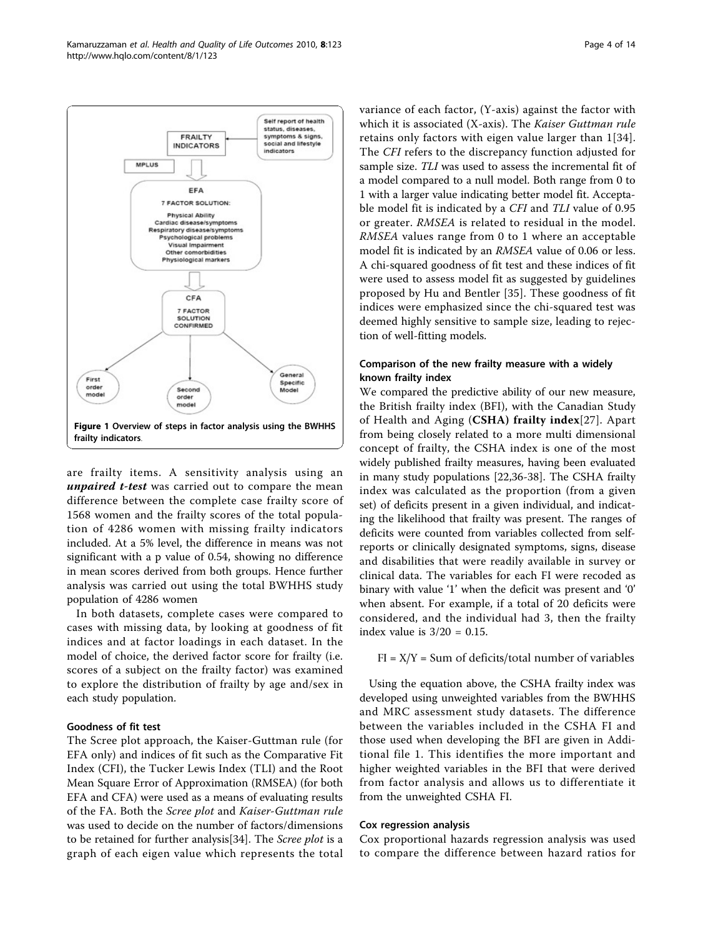<span id="page-3-0"></span>

are frailty items. A sensitivity analysis using an **unpaired t-test** was carried out to compare the mean difference between the complete case frailty score of 1568 women and the frailty scores of the total population of 4286 women with missing frailty indicators included. At a 5% level, the difference in means was not significant with a p value of 0.54, showing no difference in mean scores derived from both groups. Hence further analysis was carried out using the total BWHHS study population of 4286 women

In both datasets, complete cases were compared to cases with missing data, by looking at goodness of fit indices and at factor loadings in each dataset. In the model of choice, the derived factor score for frailty (i.e. scores of a subject on the frailty factor) was examined to explore the distribution of frailty by age and/sex in each study population.

# Goodness of fit test

The Scree plot approach, the Kaiser-Guttman rule (for EFA only) and indices of fit such as the Comparative Fit Index (CFI), the Tucker Lewis Index (TLI) and the Root Mean Square Error of Approximation (RMSEA) (for both EFA and CFA) were used as a means of evaluating results of the FA. Both the Scree plot and Kaiser-Guttman rule was used to decide on the number of factors/dimensions to be retained for further analysis[\[34](#page-13-0)]. The Scree plot is a graph of each eigen value which represents the total variance of each factor, (Y-axis) against the factor with which it is associated (X-axis). The Kaiser Guttman rule retains only factors with eigen value larger than 1[[34\]](#page-13-0). The CFI refers to the discrepancy function adjusted for sample size. TLI was used to assess the incremental fit of a model compared to a null model. Both range from 0 to 1 with a larger value indicating better model fit. Acceptable model fit is indicated by a CFI and TLI value of 0.95 or greater. RMSEA is related to residual in the model. RMSEA values range from 0 to 1 where an acceptable model fit is indicated by an RMSEA value of 0.06 or less. A chi-squared goodness of fit test and these indices of fit were used to assess model fit as suggested by guidelines proposed by Hu and Bentler [\[35](#page-13-0)]. These goodness of fit indices were emphasized since the chi-squared test was deemed highly sensitive to sample size, leading to rejection of well-fitting models.

# Comparison of the new frailty measure with a widely known frailty index

We compared the predictive ability of our new measure, the British frailty index (BFI), with the Canadian Study of Health and Aging (CSHA) frailty index[[27\]](#page-13-0). Apart from being closely related to a more multi dimensional concept of frailty, the CSHA index is one of the most widely published frailty measures, having been evaluated in many study populations [[22,36-38\]](#page-13-0). The CSHA frailty index was calculated as the proportion (from a given set) of deficits present in a given individual, and indicating the likelihood that frailty was present. The ranges of deficits were counted from variables collected from selfreports or clinically designated symptoms, signs, disease and disabilities that were readily available in survey or clinical data. The variables for each FI were recoded as binary with value '1' when the deficit was present and '0' when absent. For example, if a total of 20 deficits were considered, and the individual had 3, then the frailty index value is  $3/20 = 0.15$ .

# $FI = X/Y = Sum of deficits/total number of variables$

Using the equation above, the CSHA frailty index was developed using unweighted variables from the BWHHS and MRC assessment study datasets. The difference between the variables included in the CSHA FI and those used when developing the BFI are given in Additional file [1.](#page-12-0) This identifies the more important and higher weighted variables in the BFI that were derived from factor analysis and allows us to differentiate it from the unweighted CSHA FI.

# Cox regression analysis

Cox proportional hazards regression analysis was used to compare the difference between hazard ratios for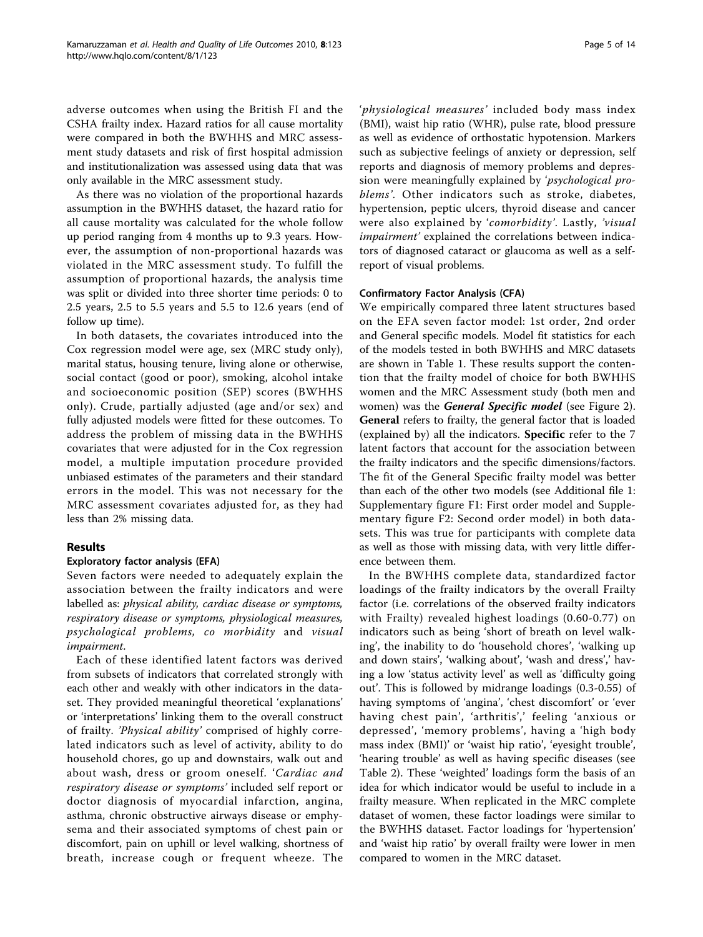adverse outcomes when using the British FI and the CSHA frailty index. Hazard ratios for all cause mortality were compared in both the BWHHS and MRC assessment study datasets and risk of first hospital admission and institutionalization was assessed using data that was only available in the MRC assessment study.

As there was no violation of the proportional hazards assumption in the BWHHS dataset, the hazard ratio for all cause mortality was calculated for the whole follow up period ranging from 4 months up to 9.3 years. However, the assumption of non-proportional hazards was violated in the MRC assessment study. To fulfill the assumption of proportional hazards, the analysis time was split or divided into three shorter time periods: 0 to 2.5 years, 2.5 to 5.5 years and 5.5 to 12.6 years (end of follow up time).

In both datasets, the covariates introduced into the Cox regression model were age, sex (MRC study only), marital status, housing tenure, living alone or otherwise, social contact (good or poor), smoking, alcohol intake and socioeconomic position (SEP) scores (BWHHS only). Crude, partially adjusted (age and/or sex) and fully adjusted models were fitted for these outcomes. To address the problem of missing data in the BWHHS covariates that were adjusted for in the Cox regression model, a multiple imputation procedure provided unbiased estimates of the parameters and their standard errors in the model. This was not necessary for the MRC assessment covariates adjusted for, as they had less than 2% missing data.

# Results

# Exploratory factor analysis (EFA)

Seven factors were needed to adequately explain the association between the frailty indicators and were labelled as: physical ability, cardiac disease or symptoms, respiratory disease or symptoms, physiological measures, psychological problems, co morbidity and visual impairment.

Each of these identified latent factors was derived from subsets of indicators that correlated strongly with each other and weakly with other indicators in the dataset. They provided meaningful theoretical 'explanations' or 'interpretations' linking them to the overall construct of frailty. 'Physical ability' comprised of highly correlated indicators such as level of activity, ability to do household chores, go up and downstairs, walk out and about wash, dress or groom oneself. 'Cardiac and respiratory disease or symptoms' included self report or doctor diagnosis of myocardial infarction, angina, asthma, chronic obstructive airways disease or emphysema and their associated symptoms of chest pain or discomfort, pain on uphill or level walking, shortness of breath, increase cough or frequent wheeze. The

'physiological measures' included body mass index (BMI), waist hip ratio (WHR), pulse rate, blood pressure as well as evidence of orthostatic hypotension. Markers such as subjective feelings of anxiety or depression, self reports and diagnosis of memory problems and depression were meaningfully explained by 'psychological problems'. Other indicators such as stroke, diabetes, hypertension, peptic ulcers, thyroid disease and cancer were also explained by 'comorbidity'. Lastly, 'visual impairment' explained the correlations between indicators of diagnosed cataract or glaucoma as well as a selfreport of visual problems.

# Confirmatory Factor Analysis (CFA)

We empirically compared three latent structures based on the EFA seven factor model: 1st order, 2nd order and General specific models. Model fit statistics for each of the models tested in both BWHHS and MRC datasets are shown in Table [1.](#page-5-0) These results support the contention that the frailty model of choice for both BWHHS women and the MRC Assessment study (both men and women) was the *General Specific model* (see Figure [2](#page-5-0)). General refers to frailty, the general factor that is loaded (explained by) all the indicators. Specific refer to the 7 latent factors that account for the association between the frailty indicators and the specific dimensions/factors. The fit of the General Specific frailty model was better than each of the other two models (see Additional file [1](#page-12-0): Supplementary figure F1: First order model and Supplementary figure F2: Second order model) in both datasets. This was true for participants with complete data as well as those with missing data, with very little difference between them.

In the BWHHS complete data, standardized factor loadings of the frailty indicators by the overall Frailty factor (i.e. correlations of the observed frailty indicators with Frailty) revealed highest loadings (0.60-0.77) on indicators such as being 'short of breath on level walking', the inability to do 'household chores', 'walking up and down stairs', 'walking about', 'wash and dress',' having a low 'status activity level' as well as 'difficulty going out'. This is followed by midrange loadings (0.3-0.55) of having symptoms of 'angina', 'chest discomfort' or 'ever having chest pain', 'arthritis',' feeling 'anxious or depressed', 'memory problems', having a 'high body mass index (BMI)' or 'waist hip ratio', 'eyesight trouble', 'hearing trouble' as well as having specific diseases (see Table [2](#page-6-0)). These 'weighted' loadings form the basis of an idea for which indicator would be useful to include in a frailty measure. When replicated in the MRC complete dataset of women, these factor loadings were similar to the BWHHS dataset. Factor loadings for 'hypertension' and 'waist hip ratio' by overall frailty were lower in men compared to women in the MRC dataset.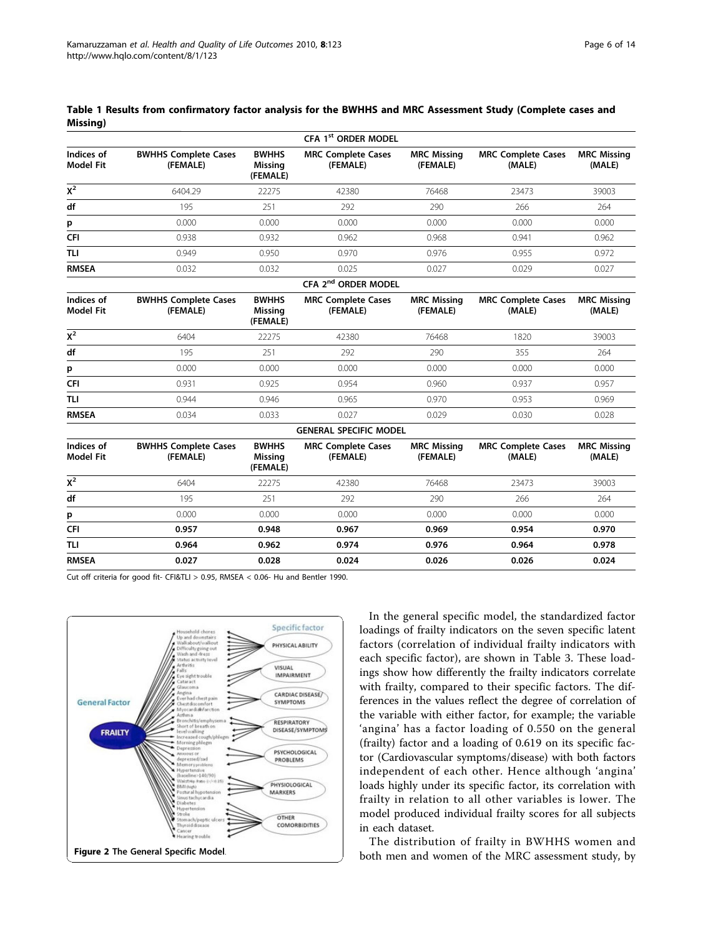|                                |                                         |                                     | CFA 1 <sup>st</sup> ORDER MODEL       |                                |                                     |                              |
|--------------------------------|-----------------------------------------|-------------------------------------|---------------------------------------|--------------------------------|-------------------------------------|------------------------------|
| Indices of<br><b>Model Fit</b> | <b>BWHHS Complete Cases</b><br>(FEMALE) | <b>BWHHS</b><br>Missing<br>(FEMALE) | <b>MRC Complete Cases</b><br>(FEMALE) | <b>MRC Missing</b><br>(FEMALE) | <b>MRC Complete Cases</b><br>(MALE) | <b>MRC Missing</b><br>(MALE) |
| $\mathsf{X}^2$                 | 6404.29                                 | 22275                               | 42380                                 | 76468                          | 23473                               | 39003                        |
| df                             | 195                                     | 251                                 | 292                                   | 290                            | 266                                 | 264                          |
| p                              | 0.000                                   | 0.000                               | 0.000                                 | 0.000                          | 0.000                               | 0.000                        |
| <b>CFI</b>                     | 0.938                                   | 0.932                               | 0.962                                 | 0.968                          | 0.941                               | 0.962                        |
| <b>TLI</b>                     | 0.949                                   | 0.950                               | 0.970                                 | 0.976                          | 0.955                               | 0.972                        |
| <b>RMSEA</b>                   | 0.032                                   | 0.032                               | 0.025                                 | 0.027                          | 0.029                               | 0.027                        |
|                                |                                         |                                     | CFA 2 <sup>nd</sup> ORDER MODEL       |                                |                                     |                              |
| Indices of<br><b>Model Fit</b> | <b>BWHHS Complete Cases</b><br>(FEMALE) | <b>BWHHS</b><br>Missing<br>(FEMALE) | <b>MRC Complete Cases</b><br>(FEMALE) | <b>MRC Missing</b><br>(FEMALE) | <b>MRC Complete Cases</b><br>(MALE) | <b>MRC Missing</b><br>(MALE) |
| $\rm\,X^2$                     | 6404                                    | 22275                               | 42380                                 | 76468                          | 1820                                | 39003                        |
| df                             | 195                                     | 251                                 | 292                                   | 290                            | 355                                 | 264                          |
| p                              | 0.000                                   | 0.000                               | 0.000                                 | 0.000                          | 0.000                               | 0.000                        |
| <b>CFI</b>                     | 0.931                                   | 0.925                               | 0.954                                 | 0.960                          | 0.937                               | 0.957                        |
| TLI                            | 0.944                                   | 0.946                               | 0.965                                 | 0.970                          | 0.953                               | 0.969                        |
| <b>RMSEA</b>                   | 0.034                                   | 0.033                               | 0.027                                 | 0.029                          | 0.030                               | 0.028                        |
|                                |                                         |                                     | <b>GENERAL SPECIFIC MODEL</b>         |                                |                                     |                              |
| Indices of<br><b>Model Fit</b> | <b>BWHHS Complete Cases</b><br>(FEMALE) | <b>BWHHS</b><br>Missing<br>(FEMALE) | <b>MRC Complete Cases</b><br>(FEMALE) | <b>MRC Missing</b><br>(FEMALE) | <b>MRC Complete Cases</b><br>(MALE) | <b>MRC Missing</b><br>(MALE) |
| $\mathsf{X}^2$                 | 6404                                    | 22275                               | 42380                                 | 76468                          | 23473                               | 39003                        |
| df                             | 195                                     | 251                                 | 292                                   | 290                            | 266                                 | 264                          |
| p                              | 0.000                                   | 0.000                               | 0.000                                 | 0.000                          | 0.000                               | 0.000                        |
| <b>CFI</b>                     | 0.957                                   | 0.948                               | 0.967                                 | 0.969                          | 0.954                               | 0.970                        |
| TLI                            | 0.964                                   | 0.962                               | 0.974                                 | 0.976                          | 0.964                               | 0.978                        |
| <b>RMSEA</b>                   | 0.027                                   | 0.028                               | 0.024                                 | 0.026                          | 0.026                               | 0.024                        |

<span id="page-5-0"></span>Table 1 Results from confirmatory factor analysis for the BWHHS and MRC Assessment Study (Complete cases and Missing)

Cut off criteria for good fit- CFI&TLI > 0.95, RMSEA < 0.06- Hu and Bentler 1990.



In the general specific model, the standardized factor loadings of frailty indicators on the seven specific latent factors (correlation of individual frailty indicators with each specific factor), are shown in Table [3.](#page-7-0) These loadings show how differently the frailty indicators correlate with frailty, compared to their specific factors. The differences in the values reflect the degree of correlation of the variable with either factor, for example; the variable 'angina' has a factor loading of 0.550 on the general (frailty) factor and a loading of 0.619 on its specific factor (Cardiovascular symptoms/disease) with both factors independent of each other. Hence although 'angina' loads highly under its specific factor, its correlation with frailty in relation to all other variables is lower. The model produced individual frailty scores for all subjects in each dataset.

The distribution of frailty in BWHHS women and both men and women of the MRC assessment study, by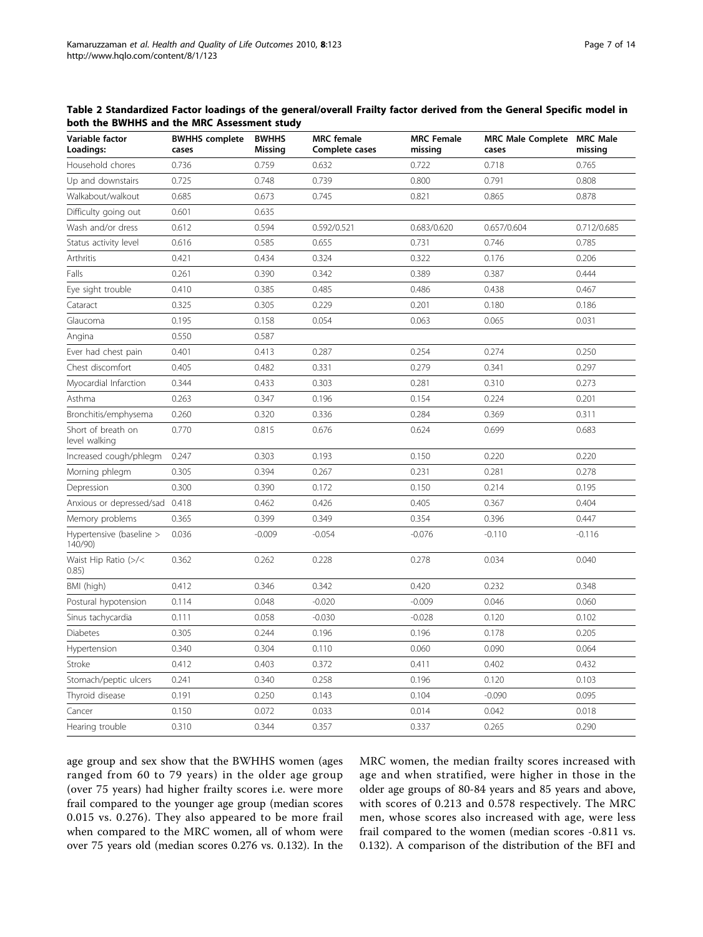<span id="page-6-0"></span>

| Table 2 Standardized Factor loadings of the general/overall Frailty factor derived from the General Specific model in |  |  |
|-----------------------------------------------------------------------------------------------------------------------|--|--|
| both the BWHHS and the MRC Assessment study                                                                           |  |  |

| Variable factor<br>Loadings:        | <b>BWHHS complete</b><br>cases | <b>BWHHS</b><br>Missing | <b>MRC</b> female<br>Complete cases | <b>MRC Female</b><br>missing | MRC Male Complete MRC Male<br>cases | missing     |
|-------------------------------------|--------------------------------|-------------------------|-------------------------------------|------------------------------|-------------------------------------|-------------|
| Household chores                    | 0.736                          | 0.759                   | 0.632                               | 0.722                        | 0.718                               | 0.765       |
| Up and downstairs                   | 0.725                          | 0.748                   | 0.739                               | 0.800                        | 0.791                               | 0.808       |
| Walkabout/walkout                   | 0.685                          | 0.673                   | 0.745                               | 0.821                        | 0.865                               | 0.878       |
| Difficulty going out                | 0.601                          | 0.635                   |                                     |                              |                                     |             |
| Wash and/or dress                   | 0.612                          | 0.594                   | 0.592/0.521                         | 0.683/0.620                  | 0.657/0.604                         | 0.712/0.685 |
| Status activity level               | 0.616                          | 0.585                   | 0.655                               | 0.731                        | 0.746                               | 0.785       |
| Arthritis                           | 0.421                          | 0.434                   | 0.324                               | 0.322                        | 0.176                               | 0.206       |
| Falls                               | 0.261                          | 0.390                   | 0.342                               | 0.389                        | 0.387                               | 0.444       |
| Eye sight trouble                   | 0.410                          | 0.385                   | 0.485                               | 0.486                        | 0.438                               | 0.467       |
| Cataract                            | 0.325                          | 0.305                   | 0.229                               | 0.201                        | 0.180                               | 0.186       |
| Glaucoma                            | 0.195                          | 0.158                   | 0.054                               | 0.063                        | 0.065                               | 0.031       |
| Angina                              | 0.550                          | 0.587                   |                                     |                              |                                     |             |
| Ever had chest pain                 | 0.401                          | 0.413                   | 0.287                               | 0.254                        | 0.274                               | 0.250       |
| Chest discomfort                    | 0.405                          | 0.482                   | 0.331                               | 0.279                        | 0.341                               | 0.297       |
| Myocardial Infarction               | 0.344                          | 0.433                   | 0.303                               | 0.281                        | 0.310                               | 0.273       |
| Asthma                              | 0.263                          | 0.347                   | 0.196                               | 0.154                        | 0.224                               | 0.201       |
| Bronchitis/emphysema                | 0.260                          | 0.320                   | 0.336                               | 0.284                        | 0.369                               | 0.311       |
| Short of breath on<br>level walking | 0.770                          | 0.815                   | 0.676                               | 0.624                        | 0.699                               | 0.683       |
| Increased cough/phlegm              | 0.247                          | 0.303                   | 0.193                               | 0.150                        | 0.220                               | 0.220       |
| Morning phlegm                      | 0.305                          | 0.394                   | 0.267                               | 0.231                        | 0.281                               | 0.278       |
| Depression                          | 0.300                          | 0.390                   | 0.172                               | 0.150                        | 0.214                               | 0.195       |
| Anxious or depressed/sad            | 0.418                          | 0.462                   | 0.426                               | 0.405                        | 0.367                               | 0.404       |
| Memory problems                     | 0.365                          | 0.399                   | 0.349                               | 0.354                        | 0.396                               | 0.447       |
| Hypertensive (baseline ><br>140/90) | 0.036                          | $-0.009$                | $-0.054$                            | $-0.076$                     | $-0.110$                            | $-0.116$    |
| Waist Hip Ratio (>/<<br>0.85)       | 0.362                          | 0.262                   | 0.228                               | 0.278                        | 0.034                               | 0.040       |
| BMI (high)                          | 0.412                          | 0.346                   | 0.342                               | 0.420                        | 0.232                               | 0.348       |
| Postural hypotension                | 0.114                          | 0.048                   | $-0.020$                            | $-0.009$                     | 0.046                               | 0.060       |
| Sinus tachycardia                   | 0.111                          | 0.058                   | $-0.030$                            | $-0.028$                     | 0.120                               | 0.102       |
| <b>Diabetes</b>                     | 0.305                          | 0.244                   | 0.196                               | 0.196                        | 0.178                               | 0.205       |
| Hypertension                        | 0.340                          | 0.304                   | 0.110                               | 0.060                        | 0.090                               | 0.064       |
| Stroke                              | 0.412                          | 0.403                   | 0.372                               | 0.411                        | 0.402                               | 0.432       |
| Stomach/peptic ulcers               | 0.241                          | 0.340                   | 0.258                               | 0.196                        | 0.120                               | 0.103       |
| Thyroid disease                     | 0.191                          | 0.250                   | 0.143                               | 0.104                        | $-0.090$                            | 0.095       |
| Cancer                              | 0.150                          | 0.072                   | 0.033                               | 0.014                        | 0.042                               | 0.018       |
| Hearing trouble                     | 0.310                          | 0.344                   | 0.357                               | 0.337                        | 0.265                               | 0.290       |

age group and sex show that the BWHHS women (ages ranged from 60 to 79 years) in the older age group (over 75 years) had higher frailty scores i.e. were more frail compared to the younger age group (median scores 0.015 vs. 0.276). They also appeared to be more frail when compared to the MRC women, all of whom were over 75 years old (median scores 0.276 vs. 0.132). In the MRC women, the median frailty scores increased with age and when stratified, were higher in those in the older age groups of 80-84 years and 85 years and above, with scores of 0.213 and 0.578 respectively. The MRC men, whose scores also increased with age, were less frail compared to the women (median scores -0.811 vs. 0.132). A comparison of the distribution of the BFI and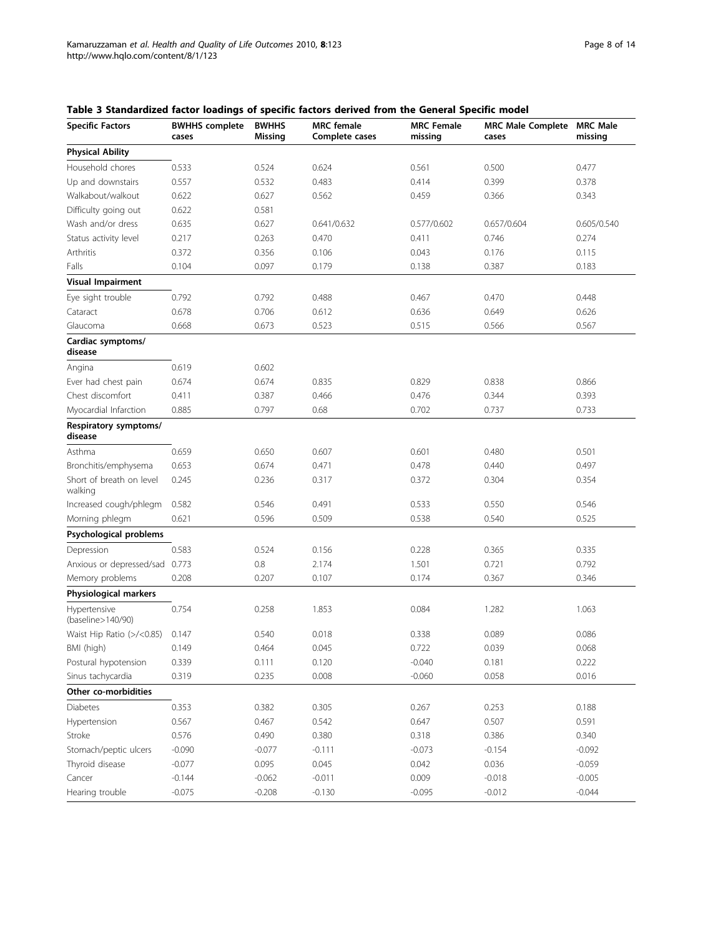<span id="page-7-0"></span>

| <b>Specific Factors</b>             | <b>BWHHS</b> complete<br>cases | <b>BWHHS</b><br>Missing | <b>MRC</b> female<br>Complete cases | <b>MRC Female</b><br>missing | MRC Male Complete MRC Male<br>cases | missing     |
|-------------------------------------|--------------------------------|-------------------------|-------------------------------------|------------------------------|-------------------------------------|-------------|
| <b>Physical Ability</b>             |                                |                         |                                     |                              |                                     |             |
| Household chores                    | 0.533                          | 0.524                   | 0.624                               | 0.561                        | 0.500                               | 0.477       |
| Up and downstairs                   | 0.557                          | 0.532                   | 0.483                               | 0.414                        | 0.399                               | 0.378       |
| Walkabout/walkout                   | 0.622                          | 0.627                   | 0.562                               | 0.459                        | 0.366                               | 0.343       |
| Difficulty going out                | 0.622                          | 0.581                   |                                     |                              |                                     |             |
| Wash and/or dress                   | 0.635                          | 0.627                   | 0.641/0.632                         | 0.577/0.602                  | 0.657/0.604                         | 0.605/0.540 |
| Status activity level               | 0.217                          | 0.263                   | 0.470                               | 0.411                        | 0.746                               | 0.274       |
| Arthritis                           | 0.372                          | 0.356                   | 0.106                               | 0.043                        | 0.176                               | 0.115       |
| Falls                               | 0.104                          | 0.097                   | 0.179                               | 0.138                        | 0.387                               | 0.183       |
| <b>Visual Impairment</b>            |                                |                         |                                     |                              |                                     |             |
| Eye sight trouble                   | 0.792                          | 0.792                   | 0.488                               | 0.467                        | 0.470                               | 0.448       |
| Cataract                            | 0.678                          | 0.706                   | 0.612                               | 0.636                        | 0.649                               | 0.626       |
| Glaucoma                            | 0.668                          | 0.673                   | 0.523                               | 0.515                        | 0.566                               | 0.567       |
| Cardiac symptoms/<br>disease        |                                |                         |                                     |                              |                                     |             |
|                                     | 0.619                          | 0.602                   |                                     |                              |                                     |             |
| Angina<br>Ever had chest pain       | 0.674                          | 0.674                   | 0.835                               | 0.829                        | 0.838                               | 0.866       |
| Chest discomfort                    | 0.411                          | 0.387                   | 0.466                               | 0.476                        | 0.344                               | 0.393       |
| Myocardial Infarction               | 0.885                          | 0.797                   | 0.68                                | 0.702                        | 0.737                               | 0.733       |
| Respiratory symptoms/               |                                |                         |                                     |                              |                                     |             |
| disease                             |                                |                         |                                     |                              |                                     |             |
| Asthma                              | 0.659                          | 0.650                   | 0.607                               | 0.601                        | 0.480                               | 0.501       |
| Bronchitis/emphysema                | 0.653                          | 0.674                   | 0.471                               | 0.478                        | 0.440                               | 0.497       |
| Short of breath on level<br>walking | 0.245                          | 0.236                   | 0.317                               | 0.372                        | 0.304                               | 0.354       |
| Increased cough/phlegm              | 0.582                          | 0.546                   | 0.491                               | 0.533                        | 0.550                               | 0.546       |
| Morning phlegm                      | 0.621                          | 0.596                   | 0.509                               | 0.538                        | 0.540                               | 0.525       |
| Psychological problems              |                                |                         |                                     |                              |                                     |             |
| Depression                          | 0.583                          | 0.524                   | 0.156                               | 0.228                        | 0.365                               | 0.335       |
| Anxious or depressed/sad            | 0.773                          | 0.8                     | 2.174                               | 1.501                        | 0.721                               | 0.792       |
| Memory problems                     | 0.208                          | 0.207                   | 0.107                               | 0.174                        | 0.367                               | 0.346       |
| Physiological markers               |                                |                         |                                     |                              |                                     |             |
| Hypertensive<br>(baseline>140/90)   | 0.754                          | 0.258                   | 1.853                               | 0.084                        | 1.282                               | 1.063       |
| Waist Hip Ratio $($ >/ $<$ 0.85)    | 0.147                          | 0.540                   | 0.018                               | 0.338                        | 0.089                               | 0.086       |
| BMI (high)                          | 0.149                          | 0.464                   | 0.045                               | 0.722                        | 0.039                               | 0.068       |
| Postural hypotension                | 0.339                          | 0.111                   | 0.120                               | $-0.040$                     | 0.181                               | 0.222       |
| Sinus tachycardia                   | 0.319                          | 0.235                   | 0.008                               | $-0.060$                     | 0.058                               | 0.016       |
| Other co-morbidities                |                                |                         |                                     |                              |                                     |             |
| Diabetes                            | 0.353                          | 0.382                   | 0.305                               | 0.267                        | 0.253                               | 0.188       |
| Hypertension                        | 0.567                          | 0.467                   | 0.542                               | 0.647                        | 0.507                               | 0.591       |
| Stroke                              | 0.576                          | 0.490                   | 0.380                               | 0.318                        | 0.386                               | 0.340       |
| Stomach/peptic ulcers               | $-0.090$                       | $-0.077$                | $-0.111$                            | $-0.073$                     | $-0.154$                            | $-0.092$    |
| Thyroid disease                     | $-0.077$                       | 0.095                   | 0.045                               | 0.042                        | 0.036                               | $-0.059$    |
| Cancer                              | $-0.144$                       | $-0.062$                | $-0.011$                            | 0.009                        | $-0.018$                            | $-0.005$    |
| Hearing trouble                     | $-0.075$                       | $-0.208$                | $-0.130$                            | $-0.095$                     | $-0.012$                            | $-0.044$    |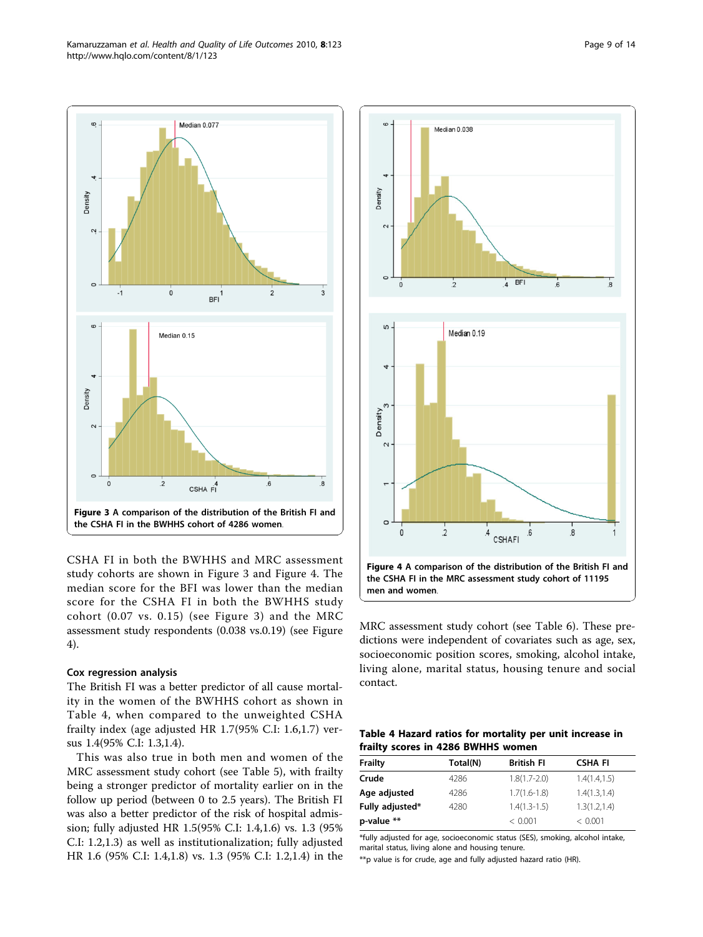

CSHA FI in both the BWHHS and MRC assessment study cohorts are shown in Figure 3 and Figure 4. The median score for the BFI was lower than the median score for the CSHA FI in both the BWHHS study cohort (0.07 vs. 0.15) (see Figure 3) and the MRC assessment study respondents (0.038 vs.0.19) (see Figure 4).

#### Cox regression analysis

The British FI was a better predictor of all cause mortality in the women of the BWHHS cohort as shown in Table 4, when compared to the unweighted CSHA frailty index (age adjusted HR 1.7(95% C.I: 1.6,1.7) versus 1.4(95% C.I: 1.3,1.4).

This was also true in both men and women of the MRC assessment study cohort (see Table [5\)](#page-9-0), with frailty being a stronger predictor of mortality earlier on in the follow up period (between 0 to 2.5 years). The British FI was also a better predictor of the risk of hospital admission; fully adjusted HR 1.5(95% C.I: 1.4,1.6) vs. 1.3 (95% C.I: 1.2,1.3) as well as institutionalization; fully adjusted HR 1.6 (95% C.I: 1.4,1.8) vs. 1.3 (95% C.I: 1.2,1.4) in the



MRC assessment study cohort (see Table [6\)](#page-9-0). These predictions were independent of covariates such as age, sex, socioeconomic position scores, smoking, alcohol intake, living alone, marital status, housing tenure and social contact.

|                                    |  | Table 4 Hazard ratios for mortality per unit increase in |  |
|------------------------------------|--|----------------------------------------------------------|--|
| frailty scores in 4286 BWHHS women |  |                                                          |  |

| Frailty         | Total(N) | <b>British FI</b> | <b>CSHA FI</b> |
|-----------------|----------|-------------------|----------------|
| Crude           | 4286     | $1.8(1.7 - 2.0)$  | 1.4(1.4, 1.5)  |
| Age adjusted    | 4286     | $1.7(1.6-1.8)$    | 1.4(1.3, 1.4)  |
| Fully adjusted* | 4280     | $1.4(1.3-1.5)$    | 1.3(1.2, 1.4)  |
| p-value **      |          | < 0.001           | < 0.001        |

\*fully adjusted for age, socioeconomic status (SES), smoking, alcohol intake, marital status, living alone and housing tenure.

\*\*p value is for crude, age and fully adjusted hazard ratio (HR).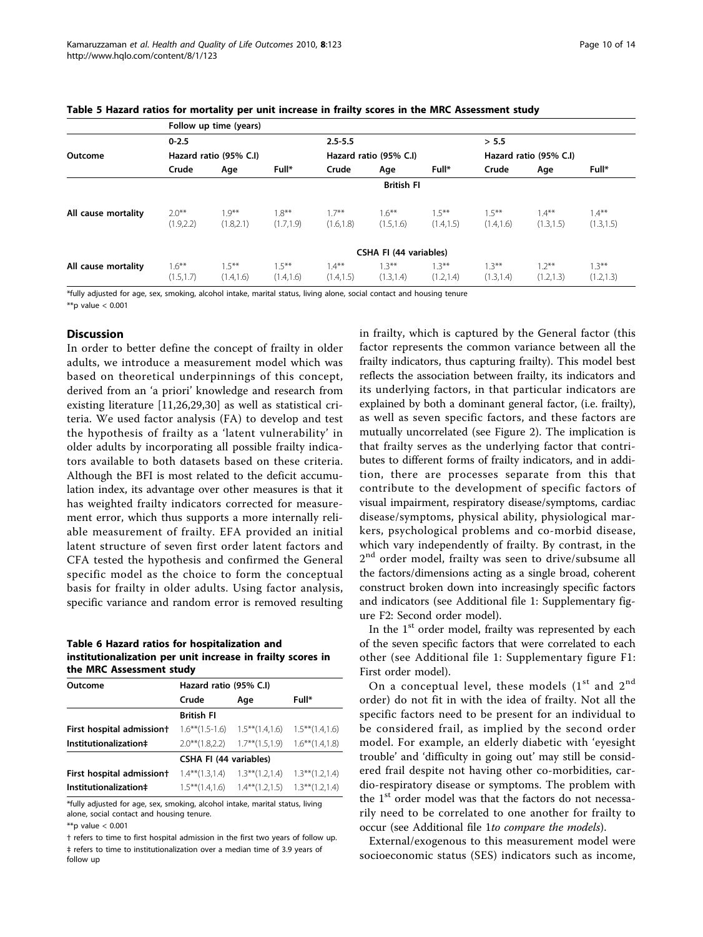| Page 10 of 14 |  |  |
|---------------|--|--|
|               |  |  |

|                     |                        | Follow up time (years) |                        |                       |                        |                        |                        |                        |                        |
|---------------------|------------------------|------------------------|------------------------|-----------------------|------------------------|------------------------|------------------------|------------------------|------------------------|
|                     | $0 - 2.5$              |                        |                        | $2.5 - 5.5$           |                        |                        | > 5.5                  |                        |                        |
| Outcome             | Hazard ratio (95% C.I) |                        | Hazard ratio (95% C.I) |                       | Hazard ratio (95% C.I) |                        |                        |                        |                        |
|                     | Crude                  | Age                    | Full*                  | Crude                 | Age                    | Full*                  | Crude                  | Age                    | Full*                  |
|                     | <b>British FI</b>      |                        |                        |                       |                        |                        |                        |                        |                        |
| All cause mortality | $2.0***$<br>(1.9, 2.2) | $1.9***$<br>(1.8, 2.1) | $1.8***$<br>(1.7, 1.9) | $.7***$<br>(1.6, 1.8) | $1.6***$<br>(1.5, 1.6) | $1.5***$<br>(1.4, 1.5) | $1.5***$<br>(1.4, 1.6) | $1.4***$<br>(1.3, 1.5) | $1.4***$<br>(1.3, 1.5) |
|                     |                        |                        | CSHA FI (44 variables) |                       |                        |                        |                        |                        |                        |
| All cause mortality | $1.6***$<br>(1.5, 1.7) | $1.5***$<br>(1.4, 1.6) | $1.5***$<br>(1.4, 1.6) | $1.4***$<br>(1.4.1.5) | $1.3***$<br>(1.3, 1.4) | $1.3***$<br>(1.2, 1.4) | $1.3***$<br>(1.3, 1.4) | $1.2***$<br>(1.2, 1.3) | $1.3***$<br>(1.2, 1.3) |

<span id="page-9-0"></span>Table 5 Hazard ratios for mortality per unit increase in frailty scores in the MRC Assessment study

\*fully adjusted for age, sex, smoking, alcohol intake, marital status, living alone, social contact and housing tenure \*\*p value  $< 0.001$ 

# **Discussion**

In order to better define the concept of frailty in older adults, we introduce a measurement model which was based on theoretical underpinnings of this concept, derived from an 'a priori' knowledge and research from existing literature [[11](#page-12-0)[,26,29](#page-13-0),[30\]](#page-13-0) as well as statistical criteria. We used factor analysis (FA) to develop and test the hypothesis of frailty as a 'latent vulnerability' in older adults by incorporating all possible frailty indicators available to both datasets based on these criteria. Although the BFI is most related to the deficit accumulation index, its advantage over other measures is that it has weighted frailty indicators corrected for measurement error, which thus supports a more internally reliable measurement of frailty. EFA provided an initial latent structure of seven first order latent factors and CFA tested the hypothesis and confirmed the General specific model as the choice to form the conceptual basis for frailty in older adults. Using factor analysis, specific variance and random error is removed resulting

# Table 6 Hazard ratios for hospitalization and institutionalization per unit increase in frailty scores in the MRC Assessment study

| Outcome                   | Hazard ratio (95% C.I) |                   |                   |  |  |  |
|---------------------------|------------------------|-------------------|-------------------|--|--|--|
|                           | Crude                  | Age               | Full*             |  |  |  |
|                           | <b>British FI</b>      |                   |                   |  |  |  |
| First hospital admission+ | $1.6***(1.5-1.6)$      | $1.5***(1.4.1.6)$ | $1.5***(1.4.1.6)$ |  |  |  |
| Institutionalization‡     | $2.0***$ (1.8.2.2)     | $1.7***(1.5,1.9)$ | $1.6***(1.4.1.8)$ |  |  |  |
|                           | CSHA FI (44 variables) |                   |                   |  |  |  |
| First hospital admission+ | $1.4***(1.3,1.4)$      | $1.3***(1.2,1.4)$ | $1.3***(1.2,1.4)$ |  |  |  |
| Institutionalization‡     | $1.5***(1.4.1.6)$      | $1.4***(1.2.1.5)$ | $1.3***(1.2.1.4)$ |  |  |  |

\*fully adjusted for age, sex, smoking, alcohol intake, marital status, living alone, social contact and housing tenure.

\*\*p value  $< 0.001$ 

† refers to time to first hospital admission in the first two years of follow up. ‡ refers to time to institutionalization over a median time of 3.9 years of follow up

in frailty, which is captured by the General factor (this factor represents the common variance between all the frailty indicators, thus capturing frailty). This model best reflects the association between frailty, its indicators and its underlying factors, in that particular indicators are explained by both a dominant general factor, (i.e. frailty), as well as seven specific factors, and these factors are mutually uncorrelated (see Figure [2\)](#page-5-0). The implication is that frailty serves as the underlying factor that contributes to different forms of frailty indicators, and in addition, there are processes separate from this that contribute to the development of specific factors of visual impairment, respiratory disease/symptoms, cardiac disease/symptoms, physical ability, physiological markers, psychological problems and co-morbid disease, which vary independently of frailty. By contrast, in the 2<sup>nd</sup> order model, frailty was seen to drive/subsume all the factors/dimensions acting as a single broad, coherent construct broken down into increasingly specific factors and indicators (see Additional file [1](#page-12-0): Supplementary figure F2: Second order model).

In the  $1<sup>st</sup>$  order model, frailty was represented by each of the seven specific factors that were correlated to each other (see Additional file [1](#page-12-0): Supplementary figure F1: First order model).

On a conceptual level, these models  $(1<sup>st</sup>$  and  $2<sup>nd</sup>$ order) do not fit in with the idea of frailty. Not all the specific factors need to be present for an individual to be considered frail, as implied by the second order model. For example, an elderly diabetic with 'eyesight trouble' and 'difficulty in going out' may still be considered frail despite not having other co-morbidities, cardio-respiratory disease or symptoms. The problem with the 1<sup>st</sup> order model was that the factors do not necessarily need to be correlated to one another for frailty to occur (see Additional file [1](#page-12-0)to compare the models).

External/exogenous to this measurement model were socioeconomic status (SES) indicators such as income,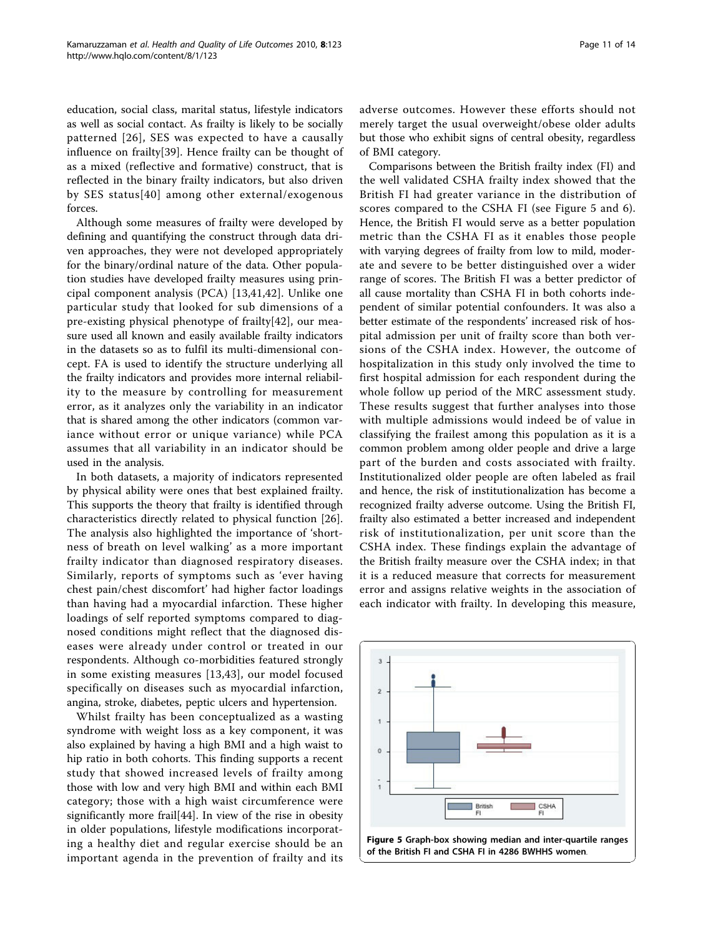education, social class, marital status, lifestyle indicators as well as social contact. As frailty is likely to be socially patterned [[26](#page-13-0)], SES was expected to have a causally influence on frailty[\[39](#page-13-0)]. Hence frailty can be thought of as a mixed (reflective and formative) construct, that is reflected in the binary frailty indicators, but also driven by SES status[[40](#page-13-0)] among other external/exogenous forces.

Although some measures of frailty were developed by defining and quantifying the construct through data driven approaches, they were not developed appropriately for the binary/ordinal nature of the data. Other population studies have developed frailty measures using principal component analysis (PCA) [[13](#page-12-0)[,41,42\]](#page-13-0). Unlike one particular study that looked for sub dimensions of a pre-existing physical phenotype of frailty[[42\]](#page-13-0), our measure used all known and easily available frailty indicators in the datasets so as to fulfil its multi-dimensional concept. FA is used to identify the structure underlying all the frailty indicators and provides more internal reliability to the measure by controlling for measurement error, as it analyzes only the variability in an indicator that is shared among the other indicators (common variance without error or unique variance) while PCA assumes that all variability in an indicator should be used in the analysis.

In both datasets, a majority of indicators represented by physical ability were ones that best explained frailty. This supports the theory that frailty is identified through characteristics directly related to physical function [\[26](#page-13-0)]. The analysis also highlighted the importance of 'shortness of breath on level walking' as a more important frailty indicator than diagnosed respiratory diseases. Similarly, reports of symptoms such as 'ever having chest pain/chest discomfort' had higher factor loadings than having had a myocardial infarction. These higher loadings of self reported symptoms compared to diagnosed conditions might reflect that the diagnosed diseases were already under control or treated in our respondents. Although co-morbidities featured strongly in some existing measures [[13](#page-12-0)[,43\]](#page-13-0), our model focused specifically on diseases such as myocardial infarction, angina, stroke, diabetes, peptic ulcers and hypertension.

Whilst frailty has been conceptualized as a wasting syndrome with weight loss as a key component, it was also explained by having a high BMI and a high waist to hip ratio in both cohorts. This finding supports a recent study that showed increased levels of frailty among those with low and very high BMI and within each BMI category; those with a high waist circumference were significantly more frail[[44\]](#page-13-0). In view of the rise in obesity in older populations, lifestyle modifications incorporating a healthy diet and regular exercise should be an important agenda in the prevention of frailty and its adverse outcomes. However these efforts should not merely target the usual overweight/obese older adults but those who exhibit signs of central obesity, regardless of BMI category.

Comparisons between the British frailty index (FI) and the well validated CSHA frailty index showed that the British FI had greater variance in the distribution of scores compared to the CSHA FI (see Figure 5 and [6](#page-11-0)). Hence, the British FI would serve as a better population metric than the CSHA FI as it enables those people with varying degrees of frailty from low to mild, moderate and severe to be better distinguished over a wider range of scores. The British FI was a better predictor of all cause mortality than CSHA FI in both cohorts independent of similar potential confounders. It was also a better estimate of the respondents' increased risk of hospital admission per unit of frailty score than both versions of the CSHA index. However, the outcome of hospitalization in this study only involved the time to first hospital admission for each respondent during the whole follow up period of the MRC assessment study. These results suggest that further analyses into those with multiple admissions would indeed be of value in classifying the frailest among this population as it is a common problem among older people and drive a large part of the burden and costs associated with frailty. Institutionalized older people are often labeled as frail and hence, the risk of institutionalization has become a recognized frailty adverse outcome. Using the British FI, frailty also estimated a better increased and independent risk of institutionalization, per unit score than the CSHA index. These findings explain the advantage of the British frailty measure over the CSHA index; in that it is a reduced measure that corrects for measurement error and assigns relative weights in the association of each indicator with frailty. In developing this measure,

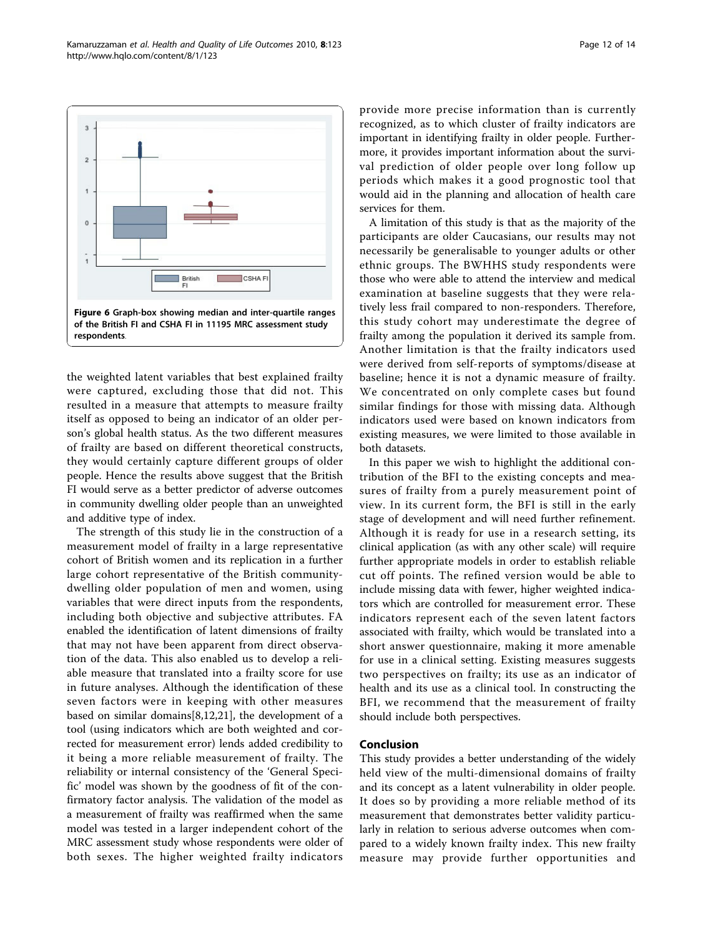<span id="page-11-0"></span>Kamaruzzaman et al. Health and Quality of Life Outcomes 2010, 8:123 http://www.hqlo.com/content/8/1/123



the weighted latent variables that best explained frailty were captured, excluding those that did not. This resulted in a measure that attempts to measure frailty itself as opposed to being an indicator of an older person's global health status. As the two different measures of frailty are based on different theoretical constructs, they would certainly capture different groups of older people. Hence the results above suggest that the British FI would serve as a better predictor of adverse outcomes in community dwelling older people than an unweighted and additive type of index.

The strength of this study lie in the construction of a measurement model of frailty in a large representative cohort of British women and its replication in a further large cohort representative of the British communitydwelling older population of men and women, using variables that were direct inputs from the respondents, including both objective and subjective attributes. FA enabled the identification of latent dimensions of frailty that may not have been apparent from direct observation of the data. This also enabled us to develop a reliable measure that translated into a frailty score for use in future analyses. Although the identification of these seven factors were in keeping with other measures based on similar domains[\[8](#page-12-0),[12](#page-12-0)[,21](#page-13-0)], the development of a tool (using indicators which are both weighted and corrected for measurement error) lends added credibility to it being a more reliable measurement of frailty. The reliability or internal consistency of the 'General Specific' model was shown by the goodness of fit of the confirmatory factor analysis. The validation of the model as a measurement of frailty was reaffirmed when the same model was tested in a larger independent cohort of the MRC assessment study whose respondents were older of both sexes. The higher weighted frailty indicators

provide more precise information than is currently recognized, as to which cluster of frailty indicators are important in identifying frailty in older people. Furthermore, it provides important information about the survival prediction of older people over long follow up periods which makes it a good prognostic tool that would aid in the planning and allocation of health care services for them.

A limitation of this study is that as the majority of the participants are older Caucasians, our results may not necessarily be generalisable to younger adults or other ethnic groups. The BWHHS study respondents were those who were able to attend the interview and medical examination at baseline suggests that they were relatively less frail compared to non-responders. Therefore, this study cohort may underestimate the degree of frailty among the population it derived its sample from. Another limitation is that the frailty indicators used were derived from self-reports of symptoms/disease at baseline; hence it is not a dynamic measure of frailty. We concentrated on only complete cases but found similar findings for those with missing data. Although indicators used were based on known indicators from existing measures, we were limited to those available in both datasets.

In this paper we wish to highlight the additional contribution of the BFI to the existing concepts and measures of frailty from a purely measurement point of view. In its current form, the BFI is still in the early stage of development and will need further refinement. Although it is ready for use in a research setting, its clinical application (as with any other scale) will require further appropriate models in order to establish reliable cut off points. The refined version would be able to include missing data with fewer, higher weighted indicators which are controlled for measurement error. These indicators represent each of the seven latent factors associated with frailty, which would be translated into a short answer questionnaire, making it more amenable for use in a clinical setting. Existing measures suggests two perspectives on frailty; its use as an indicator of health and its use as a clinical tool. In constructing the BFI, we recommend that the measurement of frailty should include both perspectives.

# Conclusion

This study provides a better understanding of the widely held view of the multi-dimensional domains of frailty and its concept as a latent vulnerability in older people. It does so by providing a more reliable method of its measurement that demonstrates better validity particularly in relation to serious adverse outcomes when compared to a widely known frailty index. This new frailty measure may provide further opportunities and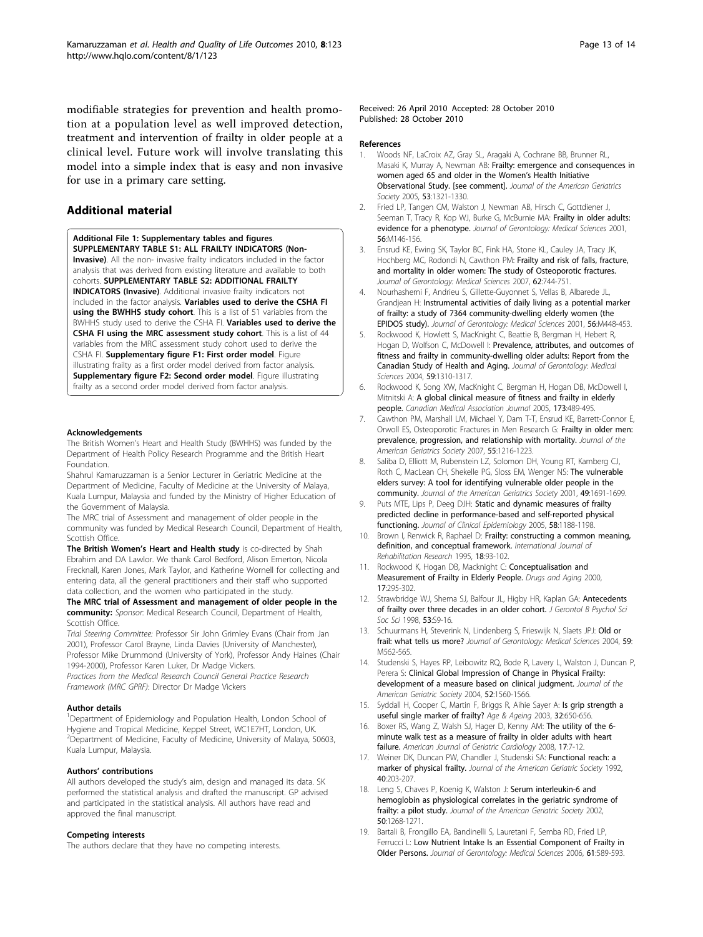<span id="page-12-0"></span>modifiable strategies for prevention and health promotion at a population level as well improved detection, treatment and intervention of frailty in older people at a clinical level. Future work will involve translating this model into a simple index that is easy and non invasive for use in a primary care setting.

# Additional material

[Additional File 1:](http://www.biomedcentral.com/content/supplementary/1477-7525-8-123-S1.DOC) Supplementary tables and figures.

SUPPLEMENTARY TABLE S1: ALL FRAILTY INDICATORS (Non-Invasive). All the non- invasive frailty indicators included in the factor analysis that was derived from existing literature and available to both cohorts. SUPPLEMENTARY TABLE S2: ADDITIONAL FRAILTY INDICATORS (Invasive). Additional invasive frailty indicators not included in the factor analysis. Variables used to derive the CSHA FI using the BWHHS study cohort. This is a list of 51 variables from the BWHHS study used to derive the CSHA FI. Variables used to derive the CSHA FI using the MRC assessment study cohort. This is a list of 44 variables from the MRC assessment study cohort used to derive the CSHA FI. Supplementary figure F1: First order model. Figure illustrating frailty as a first order model derived from factor analysis. Supplementary figure F2: Second order model. Figure illustrating frailty as a second order model derived from factor analysis.

#### Acknowledgements

The British Women's Heart and Health Study (BWHHS) was funded by the Department of Health Policy Research Programme and the British Heart Foundation.

Shahrul Kamaruzzaman is a Senior Lecturer in Geriatric Medicine at the Department of Medicine, Faculty of Medicine at the University of Malaya, Kuala Lumpur, Malaysia and funded by the Ministry of Higher Education of the Government of Malaysia.

The MRC trial of Assessment and management of older people in the community was funded by Medical Research Council, Department of Health, Scottish Office.

The British Women's Heart and Health study is co-directed by Shah Ebrahim and DA Lawlor. We thank Carol Bedford, Alison Emerton, Nicola Frecknall, Karen Jones, Mark Taylor, and Katherine Wornell for collecting and entering data, all the general practitioners and their staff who supported data collection, and the women who participated in the study.

#### The MRC trial of Assessment and management of older people in the community: Sponsor: Medical Research Council, Department of Health, Scottish Office.

Trial Steering Committee: Professor Sir John Grimley Evans (Chair from Jan 2001), Professor Carol Brayne, Linda Davies (University of Manchester), Professor Mike Drummond (University of York), Professor Andy Haines (Chair 1994-2000), Professor Karen Luker, Dr Madge Vickers.

Practices from the Medical Research Council General Practice Research Framework (MRC GPRF): Director Dr Madge Vickers

#### Author details

<sup>1</sup>Department of Epidemiology and Population Health, London School of Hygiene and Tropical Medicine, Keppel Street, WC1E7HT, London, UK. <sup>2</sup> Department of Medicine, Faculty of Medicine, University of Malaya, 50603, Kuala Lumpur, Malaysia.

#### Authors' contributions

All authors developed the study's aim, design and managed its data. SK performed the statistical analysis and drafted the manuscript. GP advised and participated in the statistical analysis. All authors have read and approved the final manuscript.

#### Competing interests

The authors declare that they have no competing interests.

#### Received: 26 April 2010 Accepted: 28 October 2010 Published: 28 October 2010

#### References

- 1. Woods NF, LaCroix AZ, Gray SL, Aragaki A, Cochrane BB, Brunner RL, Masaki K, Murray A, Newman AB: Frailty: emergence and consequences in women aged 65 and older in the Women's Health Initiative Observational Study. [see comment]. Journal of the American Geriatrics Society 2005, 53:1321-1330.
- 2. Fried LP, Tangen CM, Walston J, Newman AB, Hirsch C, Gottdiener J, Seeman T, Tracy R, Kop WJ, Burke G, McBurnie MA: Frailty in older adults: evidence for a phenotype. Journal of Gerontology: Medical Sciences 2001, 56:M146-156.
- 3. Ensrud KE, Ewing SK, Taylor BC, Fink HA, Stone KL, Cauley JA, Tracy JK, Hochberg MC, Rodondi N, Cawthon PM: Frailty and risk of falls, fracture, and mortality in older women: The study of Osteoporotic fractures. Journal of Gerontology: Medical Sciences 2007, 62:744-751.
- 4. Nourhashemi F, Andrieu S, Gillette-Guyonnet S, Vellas B, Albarede JL, Grandjean H: Instrumental activities of daily living as a potential marker of frailty: a study of 7364 community-dwelling elderly women (the EPIDOS study). Journal of Gerontology: Medical Sciences 2001, 56:M448-453.
- Rockwood K, Howlett S, MacKnight C, Beattie B, Bergman H, Hebert R, Hogan D, Wolfson C, McDowell I: Prevalence, attributes, and outcomes of fitness and frailty in community-dwelling older adults: Report from the Canadian Study of Health and Aging. Journal of Gerontology: Medical Sciences 2004, 59:1310-1317.
- 6. Rockwood K, Song XW, MacKnight C, Bergman H, Hogan DB, McDowell I, Mitnitski A: A global clinical measure of fitness and frailty in elderly people. Canadian Medical Association Journal 2005, 173:489-495.
- 7. Cawthon PM, Marshall LM, Michael Y, Dam T-T, Ensrud KE, Barrett-Connor E, Orwoll ES, Osteoporotic Fractures in Men Research G: Frailty in older men: prevalence, progression, and relationship with mortality. Journal of the American Geriatrics Society 2007, 55:1216-1223.
- 8. Saliba D, Elliott M, Rubenstein LZ, Solomon DH, Young RT, Kamberg CJ, Roth C, MacLean CH, Shekelle PG, Sloss EM, Wenger NS: The vulnerable elders survey: A tool for identifying vulnerable older people in the community. Journal of the American Geriatrics Society 2001, 49:1691-1699.
- 9. Puts MTE, Lips P, Deeg DJH: Static and dynamic measures of frailty predicted decline in performance-based and self-reported physical functioning. Journal of Clinical Epidemiology 2005, 58:1188-1198.
- 10. Brown I, Renwick R, Raphael D: Frailty: constructing a common meaning, definition, and conceptual framework. International Journal of Rehabilitation Research 1995, 18:93-102.
- 11. Rockwood K, Hogan DB, Macknight C: Conceptualisation and Measurement of Frailty in Elderly People. Drugs and Aging 2000, 17:295-302.
- 12. Strawbridge WJ, Shema SJ, Balfour JL, Higby HR, Kaplan GA: Antecedents of frailty over three decades in an older cohort. J Gerontol B Psychol Sci Soc Sci 1998, 53:S9-16.
- 13. Schuurmans H, Steverink N, Lindenberg S, Frieswijk N, Slaets JPJ: Old or frail: what tells us more? Journal of Gerontology: Medical Sciences 2004, 59: M562-565.
- 14. Studenski S, Hayes RP, Leibowitz RQ, Bode R, Lavery L, Walston J, Duncan P, Perera S: Clinical Global Impression of Change in Physical Frailty: development of a measure based on clinical judgment. Journal of the American Geriatric Society 2004, 52:1560-1566.
- 15. Syddall H, Cooper C, Martin F, Briggs R, Aihie Sayer A: Is grip strength a useful single marker of frailty? Age & Ageing 2003, 32:650-656.
- 16. Boxer RS, Wang Z, Walsh SJ, Hager D, Kenny AM: The utility of the 6minute walk test as a measure of frailty in older adults with heart failure. American Journal of Geriatric Cardiology 2008, 17:7-12.
- 17. Weiner DK, Duncan PW, Chandler J, Studenski SA: Functional reach: a marker of physical frailty. Journal of the American Geriatric Society 1992, 40:203-207.
- 18. Leng S, Chaves P, Koenig K, Walston J: Serum interleukin-6 and hemoglobin as physiological correlates in the geriatric syndrome of frailty: a pilot study. Journal of the American Geriatric Society 2002, 50:1268-1271.
- 19. Bartali B, Frongillo EA, Bandinelli S, Lauretani F, Semba RD, Fried LP, Ferrucci L: Low Nutrient Intake Is an Essential Component of Frailty in Older Persons. Journal of Gerontology: Medical Sciences 2006, 61:589-593.